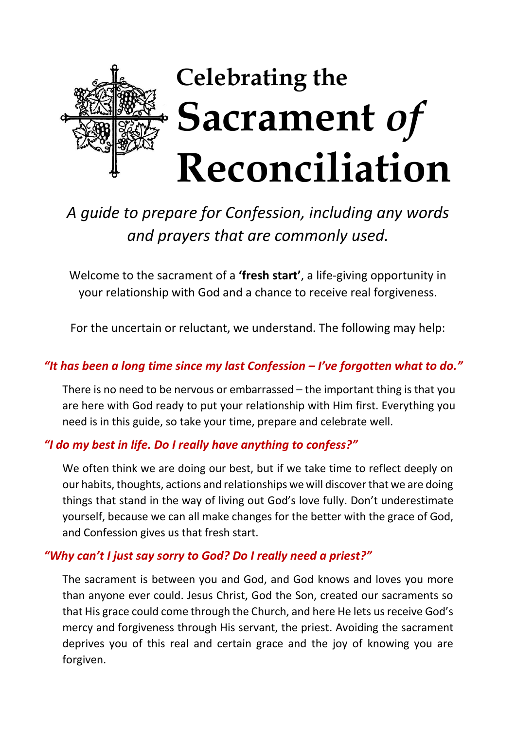

# *A guide to prepare for Confession, including any words and prayers that are commonly used.*

Welcome to the sacrament of a **'fresh start'**, a life-giving opportunity in your relationship with God and a chance to receive real forgiveness.

For the uncertain or reluctant, we understand. The following may help:

#### *"It has been a long time since my last Confession – I've forgotten what to do."*

There is no need to be nervous or embarrassed – the important thing is that you are here with God ready to put your relationship with Him first. Everything you need is in this guide, so take your time, prepare and celebrate well.

#### *"I do my best in life. Do I really have anything to confess?"*

We often think we are doing our best, but if we take time to reflect deeply on our habits, thoughts, actions and relationships we will discover that we are doing things that stand in the way of living out God's love fully. Don't underestimate yourself, because we can all make changes for the better with the grace of God, and Confession gives us that fresh start.

#### *"Why can't I just say sorry to God? Do I really need a priest?"*

The sacrament is between you and God, and God knows and loves you more than anyone ever could. Jesus Christ, God the Son, created our sacraments so that His grace could come through the Church, and here He lets us receive God's mercy and forgiveness through His servant, the priest. Avoiding the sacrament deprives you of this real and certain grace and the joy of knowing you are forgiven.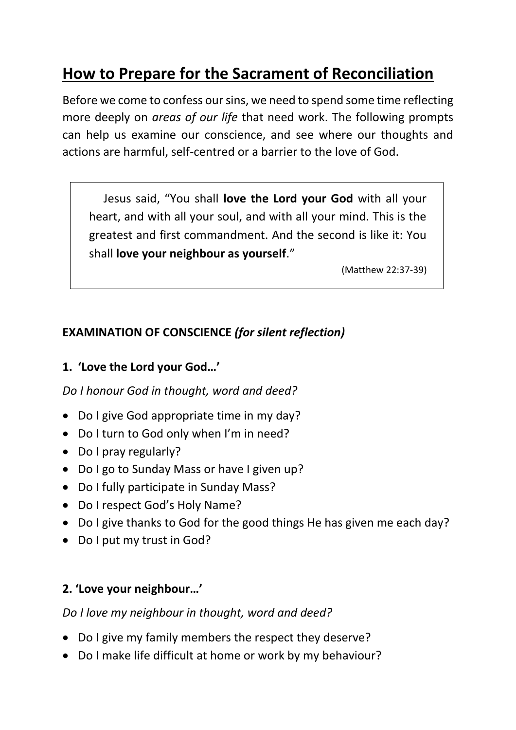# **How to Prepare for the Sacrament of Reconciliation**

Before we come to confess our sins, we need to spend some time reflecting more deeply on *areas of our life* that need work. The following prompts can help us examine our conscience, and see where our thoughts and actions are harmful, self-centred or a barrier to the love of God.

 Jesus said, "You shall **love the Lord your God** with all your heart, and with all your soul, and with all your mind. This is the greatest and first commandment. And the second is like it: You shall **love your neighbour as yourself**."

(Matthew 22:37-39)

## **EXAMINATION OF CONSCIENCE** *(for silent reflection)*

### **1. 'Love the Lord your God…'**

*Do I honour God in thought, word and deed?*

- Do I give God appropriate time in my day?
- Do I turn to God only when I'm in need?
- Do I pray regularly?
- Do I go to Sunday Mass or have I given up?
- Do I fully participate in Sunday Mass?
- Do I respect God's Holy Name?
- Do I give thanks to God for the good things He has given me each day?
- Do I put my trust in God?

# **2. 'Love your neighbour…'**

*Do I love my neighbour in thought, word and deed?*

- Do I give my family members the respect they deserve?
- Do I make life difficult at home or work by my behaviour?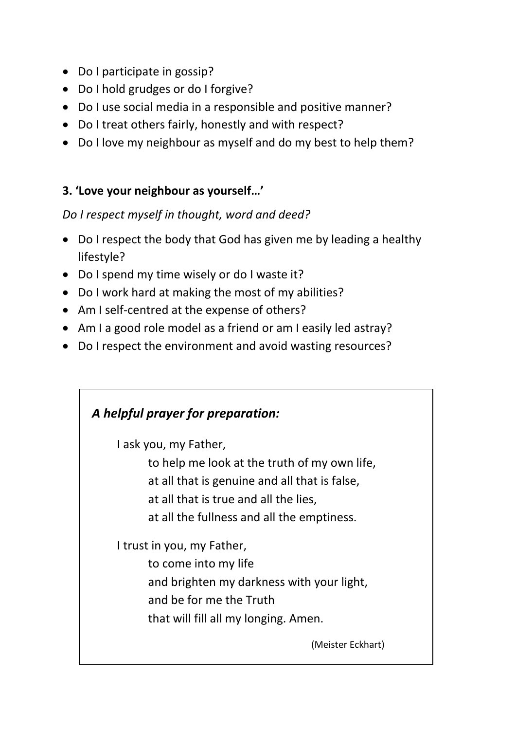- Do I participate in gossip?
- Do I hold grudges or do I forgive?
- Do I use social media in a responsible and positive manner?
- Do I treat others fairly, honestly and with respect?
- Do I love my neighbour as myself and do my best to help them?

## **3. 'Love your neighbour as yourself…'**

## *Do I respect myself in thought, word and deed?*

- Do I respect the body that God has given me by leading a healthy lifestyle?
- Do I spend my time wisely or do I waste it?
- Do I work hard at making the most of my abilities?
- Am I self-centred at the expense of others?
- Am I a good role model as a friend or am I easily led astray?
- Do I respect the environment and avoid wasting resources?